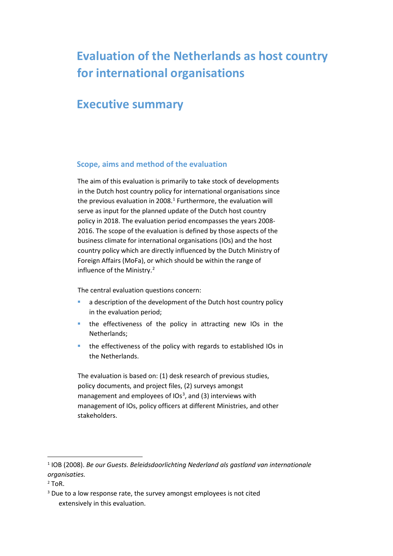# **Evaluation of the Netherlands as host country for international organisations**

# **Executive summary**

# **Scope, aims and method of the evaluation**

The aim of this evaluation is primarily to take stock of developments in the Dutch host country policy for international organisations since the previous evaluation in 2008. $1$  Furthermore, the evaluation will serve as input for the planned update of the Dutch host country policy in 2018. The evaluation period encompasses the years 2008- 2016. The scope of the evaluation is defined by those aspects of the business climate for international organisations (IOs) and the host country policy which are directly influenced by the Dutch Ministry of Foreign Affairs (MoFa), or which should be within the range of influence of the Ministry.[2](#page-0-1)

The central evaluation questions concern:

- a description of the development of the Dutch host country policy in the evaluation period;
- **the effectiveness of the policy in attracting new IOs in the** Netherlands;
- **the effectiveness of the policy with regards to established IOs in** the Netherlands.

The evaluation is based on: (1) desk research of previous studies, policy documents, and project files, (2) surveys amongst management and employees of IOs<sup>[3](#page-0-2)</sup>, and (3) interviews with management of IOs, policy officers at different Ministries, and other stakeholders.

<span id="page-0-0"></span> <sup>1</sup> IOB (2008). *Be our Guests. Beleidsdoorlichting Nederland als gastland van internationale organisaties.*

<span id="page-0-1"></span><sup>2</sup> ToR.

<span id="page-0-2"></span><sup>&</sup>lt;sup>3</sup> Due to a low response rate, the survey amongst employees is not cited extensively in this evaluation.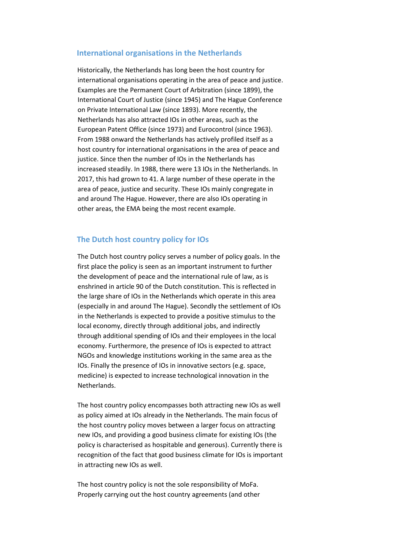### **International organisations in the Netherlands**

Historically, the Netherlands has long been the host country for international organisations operating in the area of peace and justice. Examples are the Permanent Court of Arbitration (since 1899), the International Court of Justice (since 1945) and The Hague Conference on Private International Law (since 1893). More recently, the Netherlands has also attracted IOs in other areas, such as the European Patent Office (since 1973) and Eurocontrol (since 1963). From 1988 onward the Netherlands has actively profiled itself as a host country for international organisations in the area of peace and justice. Since then the number of IOs in the Netherlands has increased steadily. In 1988, there were 13 IOs in the Netherlands. In 2017, this had grown to 41. A large number of these operate in the area of peace, justice and security. These IOs mainly congregate in and around The Hague. However, there are also IOs operating in other areas, the EMA being the most recent example.

# **The Dutch host country policy for IOs**

The Dutch host country policy serves a number of policy goals. In the first place the policy is seen as an important instrument to further the development of peace and the international rule of law, as is enshrined in article 90 of the Dutch constitution. This is reflected in the large share of IOs in the Netherlands which operate in this area (especially in and around The Hague). Secondly the settlement of IOs in the Netherlands is expected to provide a positive stimulus to the local economy, directly through additional jobs, and indirectly through additional spending of IOs and their employees in the local economy. Furthermore, the presence of IOs is expected to attract NGOs and knowledge institutions working in the same area as the IOs. Finally the presence of IOs in innovative sectors (e.g. space, medicine) is expected to increase technological innovation in the Netherlands.

The host country policy encompasses both attracting new IOs as well as policy aimed at IOs already in the Netherlands. The main focus of the host country policy moves between a larger focus on attracting new IOs, and providing a good business climate for existing IOs (the policy is characterised as hospitable and generous). Currently there is recognition of the fact that good business climate for IOs is important in attracting new IOs as well.

The host country policy is not the sole responsibility of MoFa. Properly carrying out the host country agreements (and other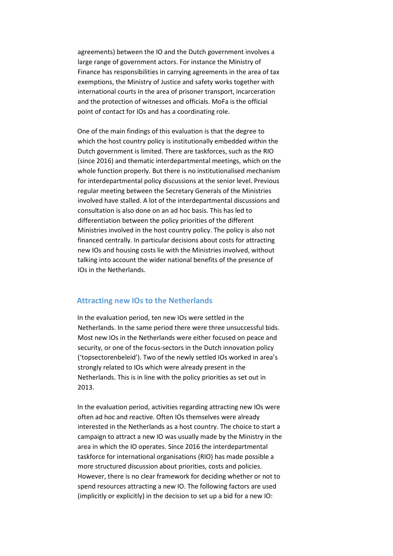agreements) between the IO and the Dutch government involves a large range of government actors. For instance the Ministry of Finance has responsibilities in carrying agreements in the area of tax exemptions, the Ministry of Justice and safety works together with international courts in the area of prisoner transport, incarceration and the protection of witnesses and officials. MoFa is the official point of contact for IOs and has a coordinating role.

One of the main findings of this evaluation is that the degree to which the host country policy is institutionally embedded within the Dutch government is limited. There are taskforces, such as the RIO (since 2016) and thematic interdepartmental meetings, which on the whole function properly. But there is no institutionalised mechanism for interdepartmental policy discussions at the senior level. Previous regular meeting between the Secretary Generals of the Ministries involved have stalled. A lot of the interdepartmental discussions and consultation is also done on an ad hoc basis. This has led to differentiation between the policy priorities of the different Ministries involved in the host country policy. The policy is also not financed centrally. In particular decisions about costs for attracting new IOs and housing costs lie with the Ministries involved, without talking into account the wider national benefits of the presence of IOs in the Netherlands.

# **Attracting new IOs to the Netherlands**

In the evaluation period, ten new IOs were settled in the Netherlands. In the same period there were three unsuccessful bids. Most new IOs in the Netherlands were either focused on peace and security, or one of the focus-sectors in the Dutch innovation policy ('topsectorenbeleid'). Two of the newly settled IOs worked in area's strongly related to IOs which were already present in the Netherlands. This is in line with the policy priorities as set out in 2013.

In the evaluation period, activities regarding attracting new IOs were often ad hoc and reactive. Often IOs themselves were already interested in the Netherlands as a host country. The choice to start a campaign to attract a new IO was usually made by the Ministry in the area in which the IO operates. Since 2016 the interdepartmental taskforce for international organisations (RIO) has made possible a more structured discussion about priorities, costs and policies. However, there is no clear framework for deciding whether or not to spend resources attracting a new IO. The following factors are used (implicitly or explicitly) in the decision to set up a bid for a new IO: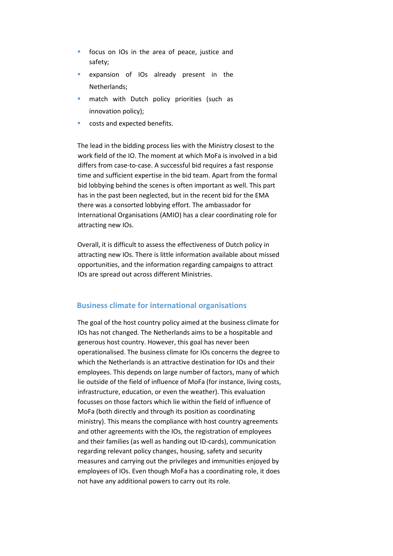- **fi** focus on IOs in the area of peace, justice and safety;
- **Expansion of IOs already present in the** Netherlands;
- **n** match with Dutch policy priorities (such as innovation policy);
- costs and expected benefits.

The lead in the bidding process lies with the Ministry closest to the work field of the IO. The moment at which MoFa is involved in a bid differs from case-to-case. A successful bid requires a fast response time and sufficient expertise in the bid team. Apart from the formal bid lobbying behind the scenes is often important as well. This part has in the past been neglected, but in the recent bid for the EMA there was a consorted lobbying effort. The ambassador for International Organisations (AMIO) has a clear coordinating role for attracting new IOs.

Overall, it is difficult to assess the effectiveness of Dutch policy in attracting new IOs. There is little information available about missed opportunities, and the information regarding campaigns to attract IOs are spread out across different Ministries.

# **Business climate for international organisations**

The goal of the host country policy aimed at the business climate for IOs has not changed. The Netherlands aims to be a hospitable and generous host country. However, this goal has never been operationalised. The business climate for IOs concerns the degree to which the Netherlands is an attractive destination for IOs and their employees. This depends on large number of factors, many of which lie outside of the field of influence of MoFa (for instance, living costs, infrastructure, education, or even the weather). This evaluation focusses on those factors which lie within the field of influence of MoFa (both directly and through its position as coordinating ministry). This means the compliance with host country agreements and other agreements with the IOs, the registration of employees and their families (as well as handing out ID-cards), communication regarding relevant policy changes, housing, safety and security measures and carrying out the privileges and immunities enjoyed by employees of IOs. Even though MoFa has a coordinating role, it does not have any additional powers to carry out its role.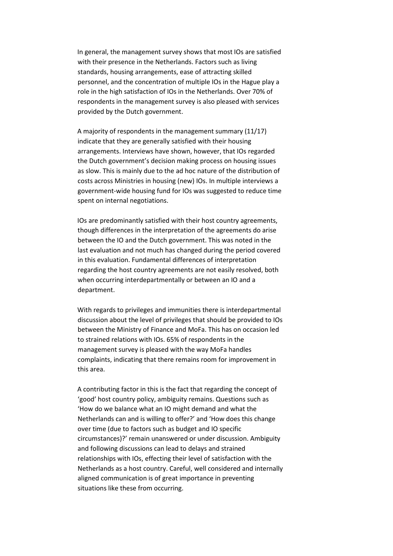In general, the management survey shows that most IOs are satisfied with their presence in the Netherlands. Factors such as living standards, housing arrangements, ease of attracting skilled personnel, and the concentration of multiple IOs in the Hague play a role in the high satisfaction of IOs in the Netherlands. Over 70% of respondents in the management survey is also pleased with services provided by the Dutch government.

A majority of respondents in the management summary (11/17) indicate that they are generally satisfied with their housing arrangements. Interviews have shown, however, that IOs regarded the Dutch government's decision making process on housing issues as slow. This is mainly due to the ad hoc nature of the distribution of costs across Ministries in housing (new) IOs. In multiple interviews a government-wide housing fund for IOs was suggested to reduce time spent on internal negotiations.

IOs are predominantly satisfied with their host country agreements, though differences in the interpretation of the agreements do arise between the IO and the Dutch government. This was noted in the last evaluation and not much has changed during the period covered in this evaluation. Fundamental differences of interpretation regarding the host country agreements are not easily resolved, both when occurring interdepartmentally or between an IO and a department.

With regards to privileges and immunities there is interdepartmental discussion about the level of privileges that should be provided to IOs between the Ministry of Finance and MoFa. This has on occasion led to strained relations with IOs. 65% of respondents in the management survey is pleased with the way MoFa handles complaints, indicating that there remains room for improvement in this area.

A contributing factor in this is the fact that regarding the concept of 'good' host country policy, ambiguity remains. Questions such as 'How do we balance what an IO might demand and what the Netherlands can and is willing to offer?' and 'How does this change over time (due to factors such as budget and IO specific circumstances)?' remain unanswered or under discussion. Ambiguity and following discussions can lead to delays and strained relationships with IOs, effecting their level of satisfaction with the Netherlands as a host country. Careful, well considered and internally aligned communication is of great importance in preventing situations like these from occurring.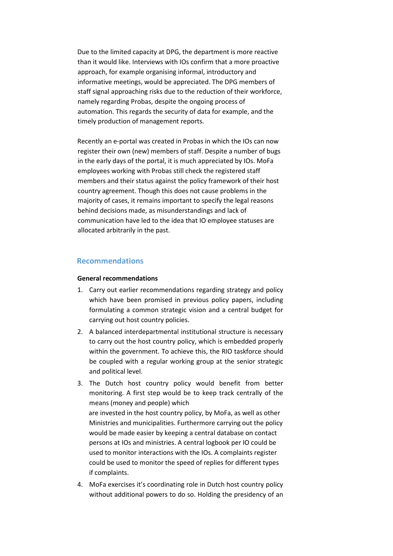Due to the limited capacity at DPG, the department is more reactive than it would like. Interviews with IOs confirm that a more proactive approach, for example organising informal, introductory and informative meetings, would be appreciated. The DPG members of staff signal approaching risks due to the reduction of their workforce, namely regarding Probas, despite the ongoing process of automation. This regards the security of data for example, and the timely production of management reports.

Recently an e-portal was created in Probas in which the IOs can now register their own (new) members of staff. Despite a number of bugs in the early days of the portal, it is much appreciated by IOs. MoFa employees working with Probas still check the registered staff members and their status against the policy framework of their host country agreement. Though this does not cause problems in the majority of cases, it remains important to specify the legal reasons behind decisions made, as misunderstandings and lack of communication have led to the idea that IO employee statuses are allocated arbitrarily in the past.

# **Recommendations**

#### **General recommendations**

- 1. Carry out earlier recommendations regarding strategy and policy which have been promised in previous policy papers, including formulating a common strategic vision and a central budget for carrying out host country policies.
- 2. A balanced interdepartmental institutional structure is necessary to carry out the host country policy, which is embedded properly within the government. To achieve this, the RIO taskforce should be coupled with a regular working group at the senior strategic and political level.
- 3. The Dutch host country policy would benefit from better monitoring. A first step would be to keep track centrally of the means (money and people) which are invested in the host country policy, by MoFa, as well as other Ministries and municipalities. Furthermore carrying out the policy would be made easier by keeping a central database on contact persons at IOs and ministries. A central logbook per IO could be used to monitor interactions with the IOs. A complaints register could be used to monitor the speed of replies for different types if complaints.
- 4. MoFa exercises it's coordinating role in Dutch host country policy without additional powers to do so. Holding the presidency of an